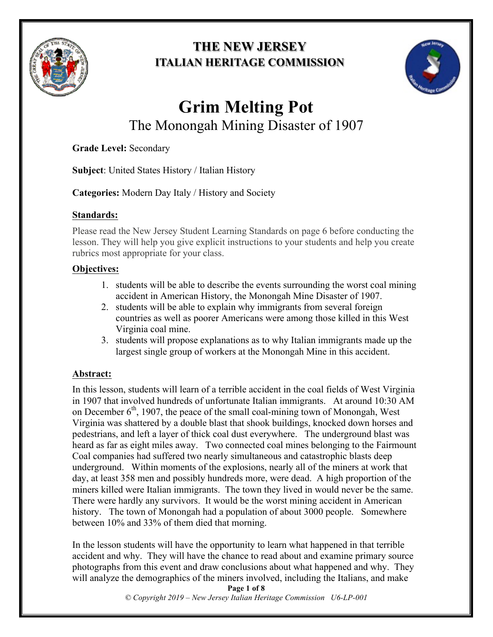

# **THE NEW JERSEY ITALIAN HERITAGE COMMISSION**



# **Grim Melting Pot** The Monongah Mining Disaster of 1907

**Grade Level:** Secondary

**Subject**: United States History / Italian History

**Categories:** Modern Day Italy / History and Society

# **Standards:**

Please read the New Jersey Student Learning Standards on page 6 before conducting the lesson. They will help you give explicit instructions to your students and help you create rubrics most appropriate for your class.

# **Objectives:**

- 1. students will be able to describe the events surrounding the worst coal mining accident in American History, the Monongah Mine Disaster of 1907.
- 2. students will be able to explain why immigrants from several foreign countries as well as poorer Americans were among those killed in this West Virginia coal mine.
- 3. students will propose explanations as to why Italian immigrants made up the largest single group of workers at the Monongah Mine in this accident.

# **Abstract:**

In this lesson, students will learn of a terrible accident in the coal fields of West Virginia in 1907 that involved hundreds of unfortunate Italian immigrants. At around 10:30 AM on December  $6<sup>th</sup>$ , 1907, the peace of the small coal-mining town of Monongah, West Virginia was shattered by a double blast that shook buildings, knocked down horses and pedestrians, and left a layer of thick coal dust everywhere. The underground blast was heard as far as eight miles away. Two connected coal mines belonging to the Fairmount Coal companies had suffered two nearly simultaneous and catastrophic blasts deep underground. Within moments of the explosions, nearly all of the miners at work that day, at least 358 men and possibly hundreds more, were dead. A high proportion of the miners killed were Italian immigrants. The town they lived in would never be the same. There were hardly any survivors. It would be the worst mining accident in American history. The town of Monongah had a population of about 3000 people. Somewhere between 10% and 33% of them died that morning.

In the lesson students will have the opportunity to learn what happened in that terrible accident and why. They will have the chance to read about and examine primary source photographs from this event and draw conclusions about what happened and why. They will analyze the demographics of the miners involved, including the Italians, and make

**Page 1 of 8**

*© Copyright 2019 – New Jersey Italian Heritage Commission U6-LP-001*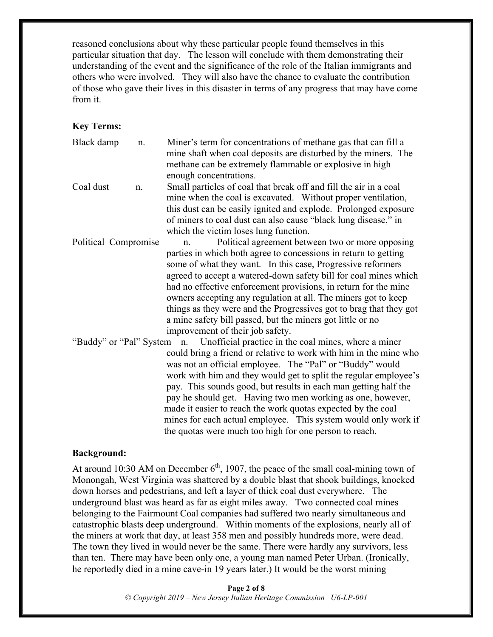reasoned conclusions about why these particular people found themselves in this particular situation that day. The lesson will conclude with them demonstrating their understanding of the event and the significance of the role of the Italian immigrants and others who were involved. They will also have the chance to evaluate the contribution of those who gave their lives in this disaster in terms of any progress that may have come from it.

#### **Key Terms:**

Black damp n. Miner's term for concentrations of methane gas that can fill a mine shaft when coal deposits are disturbed by the miners. The methane can be extremely flammable or explosive in high enough concentrations.

Coal dust n. Small particles of coal that break off and fill the air in a coal mine when the coal is excavated. Without proper ventilation, this dust can be easily ignited and explode. Prolonged exposure of miners to coal dust can also cause "black lung disease," in which the victim loses lung function.

Political Compromise n. Political agreement between two or more opposing parties in which both agree to concessions in return to getting some of what they want. In this case, Progressive reformers agreed to accept a watered-down safety bill for coal mines which had no effective enforcement provisions, in return for the mine owners accepting any regulation at all. The miners got to keep things as they were and the Progressives got to brag that they got a mine safety bill passed, but the miners got little or no improvement of their job safety.

"Buddy" or "Pal" System n. Unofficial practice in the coal mines, where a miner could bring a friend or relative to work with him in the mine who was not an official employee. The "Pal" or "Buddy" would work with him and they would get to split the regular employee's pay. This sounds good, but results in each man getting half the pay he should get. Having two men working as one, however, made it easier to reach the work quotas expected by the coal mines for each actual employee. This system would only work if the quotas were much too high for one person to reach.

#### **Background:**

At around 10:30 AM on December  $6<sup>th</sup>$ , 1907, the peace of the small coal-mining town of Monongah, West Virginia was shattered by a double blast that shook buildings, knocked down horses and pedestrians, and left a layer of thick coal dust everywhere. The underground blast was heard as far as eight miles away. Two connected coal mines belonging to the Fairmount Coal companies had suffered two nearly simultaneous and catastrophic blasts deep underground. Within moments of the explosions, nearly all of the miners at work that day, at least 358 men and possibly hundreds more, were dead. The town they lived in would never be the same. There were hardly any survivors, less than ten. There may have been only one, a young man named Peter Urban. (Ironically, he reportedly died in a mine cave-in 19 years later.) It would be the worst mining

> **Page 2 of 8** *© Copyright 2019 – New Jersey Italian Heritage Commission U6-LP-001*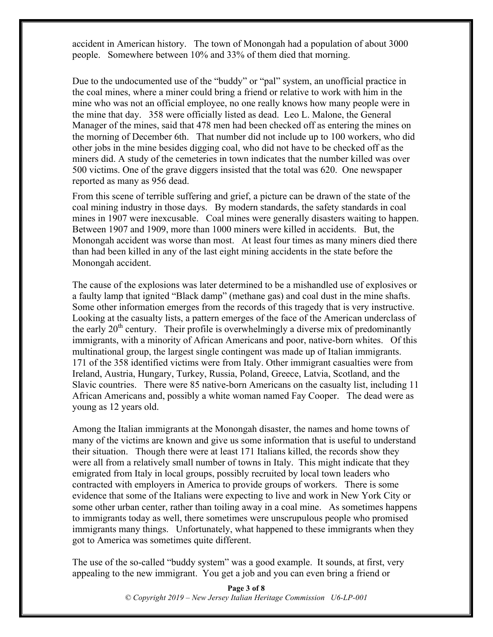accident in American history. The town of Monongah had a population of about 3000 people. Somewhere between 10% and 33% of them died that morning.

Due to the undocumented use of the "buddy" or "pal" system, an unofficial practice in the coal mines, where a miner could bring a friend or relative to work with him in the mine who was not an official employee, no one really knows how many people were in the mine that day. 358 were officially listed as dead. Leo L. Malone, the General Manager of the mines, said that 478 men had been checked off as entering the mines on the morning of December 6th. That number did not include up to 100 workers, who did other jobs in the mine besides digging coal, who did not have to be checked off as the miners did. A study of the cemeteries in town indicates that the number killed was over 500 victims. One of the grave diggers insisted that the total was 620. One newspaper reported as many as 956 dead.

From this scene of terrible suffering and grief, a picture can be drawn of the state of the coal mining industry in those days. By modern standards, the safety standards in coal mines in 1907 were inexcusable. Coal mines were generally disasters waiting to happen. Between 1907 and 1909, more than 1000 miners were killed in accidents. But, the Monongah accident was worse than most. At least four times as many miners died there than had been killed in any of the last eight mining accidents in the state before the Monongah accident.

The cause of the explosions was later determined to be a mishandled use of explosives or a faulty lamp that ignited "Black damp" (methane gas) and coal dust in the mine shafts. Some other information emerges from the records of this tragedy that is very instructive. Looking at the casualty lists, a pattern emerges of the face of the American underclass of the early  $20<sup>th</sup>$  century. Their profile is overwhelmingly a diverse mix of predominantly immigrants, with a minority of African Americans and poor, native-born whites. Of this multinational group, the largest single contingent was made up of Italian immigrants. 171 of the 358 identified victims were from Italy. Other immigrant casualties were from Ireland, Austria, Hungary, Turkey, Russia, Poland, Greece, Latvia, Scotland, and the Slavic countries. There were 85 native-born Americans on the casualty list, including 11 African Americans and, possibly a white woman named Fay Cooper. The dead were as young as 12 years old.

Among the Italian immigrants at the Monongah disaster, the names and home towns of many of the victims are known and give us some information that is useful to understand their situation. Though there were at least 171 Italians killed, the records show they were all from a relatively small number of towns in Italy. This might indicate that they emigrated from Italy in local groups, possibly recruited by local town leaders who contracted with employers in America to provide groups of workers. There is some evidence that some of the Italians were expecting to live and work in New York City or some other urban center, rather than toiling away in a coal mine. As sometimes happens to immigrants today as well, there sometimes were unscrupulous people who promised immigrants many things. Unfortunately, what happened to these immigrants when they got to America was sometimes quite different.

The use of the so-called "buddy system" was a good example. It sounds, at first, very appealing to the new immigrant. You get a job and you can even bring a friend or

> **Page 3 of 8** *© Copyright 2019 – New Jersey Italian Heritage Commission U6-LP-001*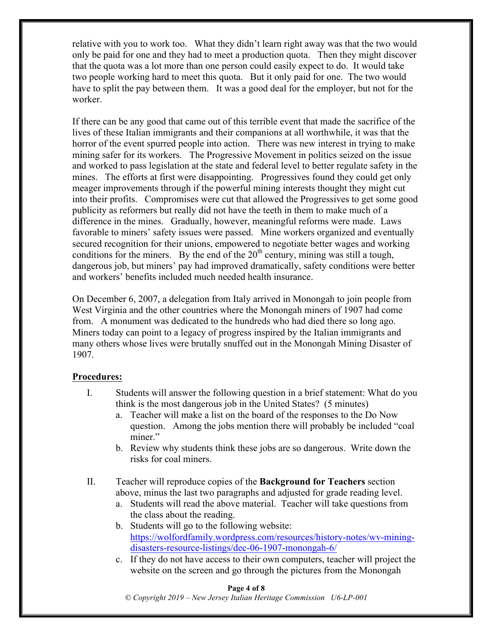relative with you to work too. What they didn't learn right away was that the two would only be paid for one and they had to meet a production quota. Then they might discover that the quota was a lot more than one person could easily expect to do. It would take two people working hard to meet this quota. But it only paid for one. The two would have to split the pay between them. It was a good deal for the employer, but not for the worker.

If there can be any good that came out of this terrible event that made the sacrifice of the lives of these Italian immigrants and their companions at all worthwhile, it was that the horror of the event spurred people into action. There was new interest in trying to make mining safer for its workers. The Progressive Movement in politics seized on the issue and worked to pass legislation at the state and federal level to better regulate safety in the mines. The efforts at first were disappointing. Progressives found they could get only meager improvements through if the powerful mining interests thought they might cut into their profits. Compromises were cut that allowed the Progressives to get some good publicity as reformers but really did not have the teeth in them to make much of a difference in the mines. Gradually, however, meaningful reforms were made. Laws favorable to miners' safety issues were passed. Mine workers organized and eventually secured recognition for their unions, empowered to negotiate better wages and working conditions for the miners. By the end of the  $20<sup>th</sup>$  century, mining was still a tough, dangerous job, but miners' pay had improved dramatically, safety conditions were better and workers' benefits included much needed health insurance.

On December 6, 2007, a delegation from Italy arrived in Monongah to join people from West Virginia and the other countries where the Monongah miners of 1907 had come from. A monument was dedicated to the hundreds who had died there so long ago. Miners today can point to a legacy of progress inspired by the Italian immigrants and many others whose lives were brutally snuffed out in the Monongah Mining Disaster of 1907.

#### **Procedures:**

- I. Students will answer the following question in a brief statement: What do you think is the most dangerous job in the United States? (5 minutes)
	- a. Teacher will make a list on the board of the responses to the Do Now question. Among the jobs mention there will probably be included "coal miner."
	- b. Review why students think these jobs are so dangerous. Write down the risks for coal miners.
- II. Teacher will reproduce copies of the **Background for Teachers** section above, minus the last two paragraphs and adjusted for grade reading level.
	- a. Students will read the above material. Teacher will take questions from the class about the reading.
	- b. Students will go to the following website: https://wolfordfamily.wordpress.com/resources/history-notes/wv-miningdisasters-resource-listings/dec-06-1907-monongah-6/
	- c. If they do not have access to their own computers, teacher will project the website on the screen and go through the pictures from the Monongah

#### **Page 4 of 8**

*© Copyright 2019 – New Jersey Italian Heritage Commission U6-LP-001*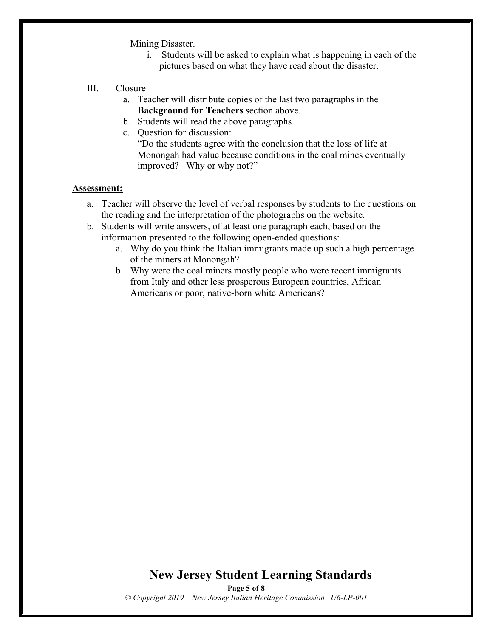Mining Disaster.

- i. Students will be asked to explain what is happening in each of the pictures based on what they have read about the disaster.
- III. Closure
	- a. Teacher will distribute copies of the last two paragraphs in the **Background for Teachers** section above.
	- b. Students will read the above paragraphs.
	- c. Question for discussion:

"Do the students agree with the conclusion that the loss of life at Monongah had value because conditions in the coal mines eventually improved? Why or why not?"

#### **Assessment:**

- a. Teacher will observe the level of verbal responses by students to the questions on the reading and the interpretation of the photographs on the website.
- b. Students will write answers, of at least one paragraph each, based on the information presented to the following open-ended questions:
	- a. Why do you think the Italian immigrants made up such a high percentage of the miners at Monongah?
	- b. Why were the coal miners mostly people who were recent immigrants from Italy and other less prosperous European countries, African Americans or poor, native-born white Americans?

# **New Jersey Student Learning Standards**

**Page 5 of 8** *© Copyright 2019 – New Jersey Italian Heritage Commission U6-LP-001*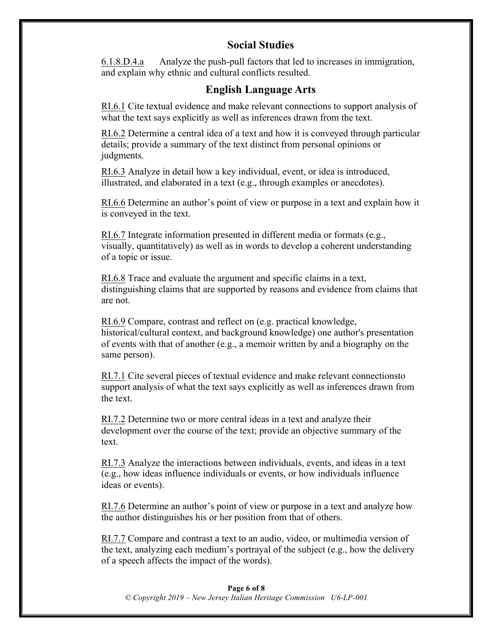## **Social Studies**

6.1.8.D.4.a Analyze the push-pull factors that led to increases in immigration, and explain why ethnic and cultural conflicts resulted.

## **English Language Arts**

RI.6.1 Cite textual evidence and make relevant connections to support analysis of what the text says explicitly as well as inferences drawn from the text.

RI.6.2 Determine a central idea of a text and how it is conveyed through particular details; provide a summary of the text distinct from personal opinions or judgments.

RI.6.3 Analyze in detail how a key individual, event, or idea is introduced, illustrated, and elaborated in a text (e.g., through examples or anecdotes).

RI.6.6 Determine an author's point of view or purpose in a text and explain how it is conveyed in the text.

RI.6.7 Integrate information presented in different media or formats (e.g., visually, quantitatively) as well as in words to develop a coherent understanding of a topic or issue.

RI.6.8 Trace and evaluate the argument and specific claims in a text, distinguishing claims that are supported by reasons and evidence from claims that are not.

RI.6.9 Compare, contrast and reflect on (e.g. practical knowledge, historical/cultural context, and background knowledge) one author's presentation of events with that of another (e.g., a memoir written by and a biography on the same person).

RI.7.1 Cite several pieces of textual evidence and make relevant connectionsto support analysis of what the text says explicitly as well as inferences drawn from the text.

RI.7.2 Determine two or more central ideas in a text and analyze their development over the course of the text; provide an objective summary of the text.

RI.7.3 Analyze the interactions between individuals, events, and ideas in a text (e.g., how ideas influence individuals or events, or how individuals influence ideas or events).

RI.7.6 Determine an author's point of view or purpose in a text and analyze how the author distinguishes his or her position from that of others.

RI.7.7 Compare and contrast a text to an audio, video, or multimedia version of the text, analyzing each medium's portrayal of the subject (e.g., how the delivery of a speech affects the impact of the words).

#### **Page 6 of 8**

*© Copyright 2019 – New Jersey Italian Heritage Commission U6-LP-001*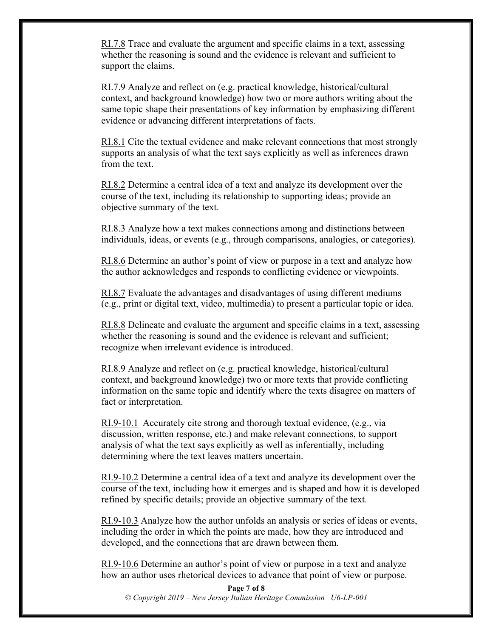RI.7.8 Trace and evaluate the argument and specific claims in a text, assessing whether the reasoning is sound and the evidence is relevant and sufficient to support the claims.

RI.7.9 Analyze and reflect on (e.g. practical knowledge, historical/cultural context, and background knowledge) how two or more authors writing about the same topic shape their presentations of key information by emphasizing different evidence or advancing different interpretations of facts.

RI.8.1 Cite the textual evidence and make relevant connections that most strongly supports an analysis of what the text says explicitly as well as inferences drawn from the text.

RI.8.2 Determine a central idea of a text and analyze its development over the course of the text, including its relationship to supporting ideas; provide an objective summary of the text.

RI.8.3 Analyze how a text makes connections among and distinctions between individuals, ideas, or events (e.g., through comparisons, analogies, or categories).

RI.8.6 Determine an author's point of view or purpose in a text and analyze how the author acknowledges and responds to conflicting evidence or viewpoints.

RI.8.7 Evaluate the advantages and disadvantages of using different mediums (e.g., print or digital text, video, multimedia) to present a particular topic or idea.

RI.8.8 Delineate and evaluate the argument and specific claims in a text, assessing whether the reasoning is sound and the evidence is relevant and sufficient; recognize when irrelevant evidence is introduced.

RI.8.9 Analyze and reflect on (e.g. practical knowledge, historical/cultural context, and background knowledge) two or more texts that provide conflicting information on the same topic and identify where the texts disagree on matters of fact or interpretation.

RI.9-10.1 Accurately cite strong and thorough textual evidence, (e.g., via discussion, written response, etc.) and make relevant connections, to support analysis of what the text says explicitly as well as inferentially, including determining where the text leaves matters uncertain.

RI.9-10.2 Determine a central idea of a text and analyze its development over the course of the text, including how it emerges and is shaped and how it is developed refined by specific details; provide an objective summary of the text.

RI.9-10.3 Analyze how the author unfolds an analysis or series of ideas or events, including the order in which the points are made, how they are introduced and developed, and the connections that are drawn between them.

RI.9-10.6 Determine an author's point of view or purpose in a text and analyze how an author uses rhetorical devices to advance that point of view or purpose.

**Page 7 of 8** *© Copyright 2019 – New Jersey Italian Heritage Commission U6-LP-001*